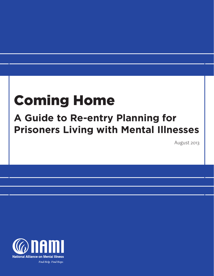# Coming Home

## **A Guide to Re-entry Planning for Prisoners Living with Mental Illnesses**

August 2013

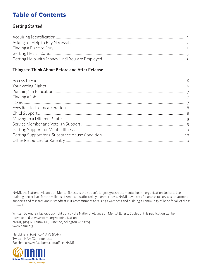## Table of Contents

#### **Getting Started**

## **Things to Think About Before and After Release**

NAMI, the National Alliance on Mental Illness, is the nation's largest grassroots mental health organization dedicated to building better lives for the millions of Americans affected by mental illness. NAMI advocates for access to services, treatment, supports and research and is steadfast in its commitment to raising awareness and building a community of hope for all of those in need.

Written by Andrea Taylor. Copyright 2013 by the National Alliance on Mental Illness. Copies of this publication can be downloaded at www.nami.org/criminalization NAMI, 3803 N. Fairfax Dr., Suite 100, Arlington VA 22203 www.nami.org

HelpLine: 1 (800) 950-NAMI (6264) Twitter: NAMICommunicate Facebook: www.facebook.com/officialNAMI

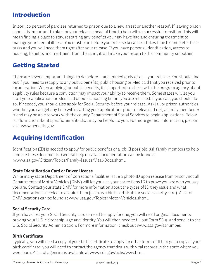## Introduction

In 2011, 20 percent of parolees returned to prison due to a new arrest or another reason<sup>i</sup> . If leaving prison soon, it is important to plan for your release ahead of time to help with a successful transition. This will mean finding a place to stay, restarting any benefits you may have had and ensuring treatment to manage your mental illness. You must plan before your release because it takes time to complete these tasks and you will need them right after your release. If you have personal identification, access to housing, benefits and treatment from the start, it will make your return to the community smoother.

## Getting Started

There are several important things to do before—and immediately after—your release. You should find out if you need to reapply to any public benefits, public housing or Medicaid that you received prior to incarceration. When applying for public benefits, it is important to check with the program agency about eligibility rules because a conviction may impact your ability to receive them. Some states will let you start your application for Medicaid or public housing before you are released. If you can, you should do so. If needed, you should also apply for Social Security before your release. Ask jail or prison authorities whether you can get any help with starting your applications prior to release. If not, a family member or friend may be able to work with the county Department of Social Services to begin applications. Below is information about specific benefits that may be helpful to you. For more general information, please visit www.benefits.gov.

## Acquiring Identification

Identification (ID) is needed to apply for public benefits or a job. If possible, ask family members to help compile these documents. General help on vital documentation can be found at www.usa.gov/Citizen/Topics/Family-Issues/Vital-Docs.shtml.

#### **State Identification Card or Driver License**

While many state Department of Corrections facilities issue a photo ID upon release from prison, not all Departments of Motor Vehicles (DMV) will let you use your corrections ID to prove you are who you say you are. Contact your state DMV for more information about the types of ID they issue and what documentation is needed to acquire them (such as a birth certificate or social security card). A list of DMV locations can be found at www.usa.gov/Topics/Motor-Vehicles.shtml.

#### **Social Security Card**

If you have lost your Social Security card or need to apply for one, you will need original documents proving your U.S. citizenship, age and identity. You will then need to fill out Form SS-5, and send it to the U.S. Social Security Administration. For more information, check out www.ssa.gov/ssnumber.

#### **Birth Certificate**

Typically, you will need a copy of your birth certificate to apply for other forms of ID. To get a copy of your birth certificate, you will need to contact the agency that deals with vital records in the state where you were born. A list of agencies is available at www.cdc.gov/nchs/w2w.htm.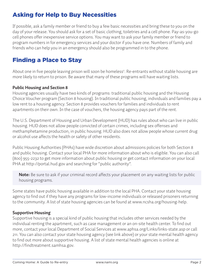## Asking for Help to Buy Necessities

If possible, ask a family member or friend to buy a few basic necessities and bring these to you on the day of your release. You should ask for a set of basic clothing, toiletries and a cell phone. Pay-as-you-go cell phones offer inexpensive service options. You may want to ask your family member or friend to program numbers in for emergency services and your doctor if you have one. Numbers of family and friends who can help you in an emergency should also be programmed in to the phone.

## Finding a Place to Stay

About one in five people leaving prison will soon be homeless<sup>ii</sup>. Re-entrants without stable housing are more likely to return to prison. Be aware that many of these programs will have waiting lists.

#### **Public Housing and Section 8**

Housing agencies usually have two kinds of programs: traditional public housing and the Housing Choice Voucher program (Section 8 housing). In traditional public housing, individuals and families pay a low rent to a housing agency. Section 8 provides vouchers for families and individuals to rent apartments on their own. In the case of vouchers, the housing agency pays part of the rent.

The U.S. Department of Housing and Urban Development (HUD) has rules about who can live in public housing. HUD does not allow people convicted of certain crimes, including sex offenses and methamphetamine production, in public housing. HUD also does not allow people whose current drug or alcohol use affects the health or safety of other residents.

Public Housing Authorities (PHAs) have wide discretion about admissions policies for both Section 8 and public housing. Contact your local PHA for more information about who is eligible. You can also call (800) 955-2232 to get more information about public housing or get contact information on your local PHA at http://portal.hud.gov and searching for "public authority".

**Note:** Be sure to ask if your criminal record affects your placement on any waiting lists for public housing programs.

Some states have public housing available in addition to the local PHA. Contact your state housing agency to find out if they have any programs for low-income individuals or released prisoners returning to the community. A list of state housing agencies can be found at www.ncsha.org/housing-help.

#### **Supportive Housing**

Supportive housing is a special kind of public housing that includes other services needed by the individual renting the apartment, such as case management or an on-site health center. To find out more, contact your local Department of Social Services at www.aphsa.org/Links/links-state.asp or call 211. You can also contact your state housing agency (see link above) or your state mental health agency to find out more about supportive housing. A list of state mental health agencies is online at http://findtreatment.samhsa.gov.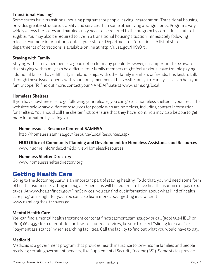#### **Transitional Housing**

Some states have transitional housing programs for people leaving incarceration. Transitional housing provides greater structure, stability and services than some other living arrangements. Programs vary widely across the states and parolees may need to be referred to the program by corrections staff to be eligible. You may also be required to live in a transitional housing situation immediately following release. For more information, contact your state's Department of Corrections. A list of state departments of corrections is available online at http://1.usa.gov/HK9OYx.

#### **Staying with Family**

Staying with family members is a good option for many people. However, it is important to be aware that staying with family can be difficult. Your family members might feel anxious, have trouble paying additional bills or have difficulty in relationships with other family members or friends. It is best to talk through these issues openly with your family members. The NAMI Family-to-Family class can help your family cope. To find out more, contact your NAMI Affiliate at www.nami.org/local.

#### **Homeless Shelters**

If you have nowhere else to go following your release, you can go to a homeless shelter in your area. The websites below have different resources for people who are homeless, including contact information for shelters. You should call the shelter first to ensure that they have room. You may also be able to get more information by calling 211.

#### **Homelessness Resource Center at SAMHSA**

http://homeless.samhsa.gov/Resource/LocalResources.aspx

#### **HUD Office of Community Planning and Development for Homeless Assistance and Resources**  www.hudhre.info/index.cfm?do=viewHomelessResources

**Homeless Shelter Directory**

www.homelessshelterdirectory.org

## Getting Health Care

Going to the doctor regularly is an important part of staying healthy. To do that, you will need some form of health insurance. Starting in 2014, all Americans will be required to have health insurance or pay extra taxes. At www.healthfinder.gov/FindServices, you can find out information about what kind of health care program is right for you. You can also learn more about getting insurance at www.nami.org/healthcoverage.

#### **Mental Health Care**

You can find a mental health treatment center at findtreatment.samhsa.gov or call (800) 662-HELP or (800) 662-4357 for a referral. To find low-cost or free services, be sure to select "sliding fee scale" or "payment assistance" when searching facilities. Call the facility to find out what you would have to pay.

#### **Medicaid**

Medicaid is a government program that provides health insurance to low-income families and people receiving certain government benefits, like Supplemental Security Income (SSI). Some states provide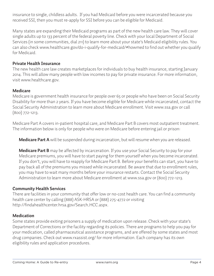insurance to single, childless adults. If you had Medicaid before you were incarcerated because you received SSI, then you must re-apply for SSI before you can be eligible for Medicaid.

Many states are expanding their Medicaid programs as part of the new health care law. They will cover single adults up to 133 percent of the federal poverty line. Check with your local Department of Social Services (in some communities, dial 211) to learn more about your state's Medicaid eligibility rules. You can also check www.healthcare.gov/do-i-qualify-for-medicaid/#howmed to find out whether you qualify for Medicaid.

#### **Private Health Insurance**

The new health care law creates marketplaces for individuals to buy health insurance, starting January 2014. This will allow many people with low incomes to pay for private insurance. For more information, visit www.healthcare.gov.

#### **Medicare**

Medicare is government health insurance for people over 65 or people who have been on Social Security Disability for more than 2 years. If you have become eligible for Medicare while incarcerated, contact the Social Security Administration to learn more about Medicare enrollment. Visit www.ssa.gov or call (800) 772-1213.

Medicare Part A covers in-patient hospital care, and Medicare Part B covers most outpatient treatment. The information below is only for people who were on Medicare before entering jail or prison:

**Medicare Part A** will be suspended during incarceration, but will resume when you are released.

**Medicare Part B** may be affected by incarceration. If you use your Social Security to pay for your Medicare premiums, you will have to start paying for them yourself when you become incarcerated. If you don't, you will have to reapply for Medicare Part B. Before your benefits can start, you have to pay back all of the premiums you missed while incarcerated. Be aware that due to enrollment rules, you may have to wait many months before your insurance restarts. Contact the Social Security Administration to learn more about Medicare enrollment at www.ssa.gov or (800) 772-1213.

#### **Community Health Services**

There are facilities in your community that offer low or no-cost health care. You can find a community health care center by calling (888) ASK-HRSA or (888) 275-4772 or visiting http://findahealthcenter.hrsa.gov/Search\_HCC.aspx.

#### **Medication**

Some states provide exiting prisoners a supply of medication upon release. Check with your state's Department of Corrections or the facility regarding its policies. There are programs to help you pay for your medication, called pharmaceutical assistance programs, and are offered by some states and most drug companies. Check out www.rxassist.org/ for more information. Each company has its own eligibility rules and application procedures.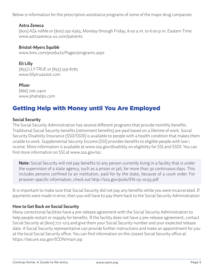Below is information for the prescription assistance programs of some of the major drug companies.

#### **Astra Zeneca**

(800) AZa-ndMe or (800) 292-6363, Monday through Friday, 8:00 a.m. to 6:00 p.m. Eastern Time www.astrazeneca-us.com/patients

#### **Bristol-Myers Squibb**

www.bms.com/products/Pages/programs.aspx

#### **Eli Lilly**

(855) LLY-TRUE or (855) 559-8783 www.lillytruassist.com

#### **Pfizer**

(866) 706-2400 www.phahelps.com

## Getting Help with Money until You Are Employed

#### **Social Security**

The Social Security Administration has several different programs that provide monthly benefits. Traditional Social Security benefits (retirement benefits) are paid based on a lifetime of work. Social Security Disability Insurance (SSD/SSDI) is available to people with a health condition that makes them unable to work. Supplemental Security Income (SSI) provides benefits to eligible people with low i ncome. More information is available at www.ssa.gov/disability on eligibility for SSI and SSDI. You can find more information on SSI at www.ssa.gov/ssi.

**Note:** Social Security will not pay benefits to any person currently living in a facility that is under the supervision of a state agency, such as a prison or jail, for more than 30 continuous days. This includes persons confined to an institution, paid for by the state, because of a court order. For prisoner-specific information, check out http://ssa.gov/pubs/EN-05-10133.pdf

It is important to make sure that Social Security did not pay any benefits while you were incarcerated. If payments were made in error, then you will have to pay them back to the Social Security Administration.

#### **How to Get Back on Social Security**

Many correctional facilities have a pre-release agreement with the Social Security Administration to help people restart or reapply for benefits. If the facility does not have a pre-release agreement, contact Social Security at (800) 772-1213 and give them your Social Security number and your expected release date. A Social Security representative can provide further instructions and make an appointment for you at the local Social Security office. You can find information on the closest Social Security office at https://secure.ssa.gov/ICON/main.jsp.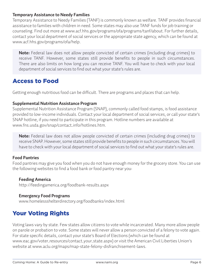#### **Temporary Assistance to Needy Families**

Temporary Assistance to Needy Families (TANF) is commonly known as welfare. TANF provides financial assistance to families with children in need. Some states may also use TANF funds for job training or counseling. Find out more at www.acf.hhs.gov/programs/ofa/programs/tanf/about. For further details, contact your local department of social services or the appropriate state agency, which can be found at www.acf.hhs.gov/programs/ofa/help.

**Note:** Federal law does not allow people convicted of certain crimes (including drug crimes) to receive TANF. However, some states still provide benefits to people in such circumstances. There are also limits on how long you can receive TANF. You will have to check with your local department of social services to find out what your state's rules are.

## Access to Food

Getting enough nutritious food can be difficult. There are programs and places that can help.

#### **Supplemental Nutrition Assistance Program**

Supplemental Nutrition Assistance Program (SNAP), commonly called food stamps, is food assistance provided to low-income individuals. Contact your local department of social services, or call your state's SNAP hotline, if you need to participate in this program. Hotline numbers are available at www.fns.usda.gov/snap/contact\_info/hotlines.htm.

**Note:** Federal law does not allow people convicted of certain crimes (including drug crimes) to receive SNAP. However, some states still provide benefits to people in such circumstances. You will have to check with your local department of social services to find out what your state's rules are.

#### **Food Pantries**

Food pantries may give you food when you do not have enough money for the grocery store. You can use the following websites to find a food bank or food pantry near you:

#### **Feeding America**

http://feedingamerica.org/foodbank-results.aspx

#### **Emergency Food Programs**

www.homelessshelterdirectory.org/foodbanks/index.html

## Your Voting Rights

Voting laws vary by state. Few states allow citizens to vote while incarcerated. Many more allow people on parole or probation to vote. Some states will never allow a person convicted of a felony to vote again. For state specific details, contact your state's Board of Elections (which can be found at www.eac.gov/voter\_resources/contact\_your\_state.aspx) or visit the American Civil Liberties Union's website at www.aclu.org/maps/map-state-felony-disfranchisement-laws.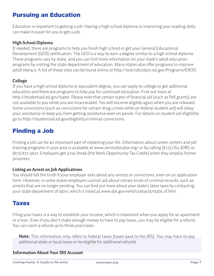## Pursuing an Education

Education is important to getting a job. Having a high school diploma or improving your reading skills can make it easier for you to get a job.

#### **High School Diploma**

If needed, there are programs to help you finish high school or get your General Educational Development (GED) certification. The GED is a way to earn a degree similar to a high school diploma. These programs vary by state, and you can find more information on your state's adult education programs by visiting the state department of education. Many states also offer programs to improve adult literacy. A list of these sites can be found online at http://wdcrobcolp01.ed.gov/Programs/EROD.

#### **College**

If you have a high school diploma or equivalent degree, you can apply to college to get additional education and there are programs to help pay for continued education. Find out more at http://studentaid.ed.gov/types. Please note that certain types of financial aid (such as Pell grants) are not available to you while you are incarcerated. You will become eligible again when you are released. Some convictions (such as convictions for certain drug crimes while on federal student aid) will delay your assistance or keep you from getting assistance even on parole. For details on student aid eligibility go to http://studentaid.ed.gov/eligibility/criminal-convictions.

## Finding a Job

Finding a job can be an important part of restarting your life. Information about career centers and job training programs in your area is available at www.servicelocator.org/ or by calling (877) US2-JOBS or (877) 872-5627. Employers get a tax break (the Work Opportunity Tax Credit) when they employ former prisoners.

#### **Listing an Arrest on Job Applications**

You should tell the truth if your employer asks about any arrests or convictions, even on an application form. However, in some states employers cannot ask about certain kinds of criminal records, such as arrests that are no longer pending. You can find out more about your state's labor laws by contacting your state department of labor, which is listed at www.dol.gov/whd/contacts/state\_of.htm.

### Taxes

Filing your taxes is a way to establish your income, which is important when you apply for an apartment or a loan. Even if you don't make enough money to have to pay taxes, you may be eligible for a refund. You can claim a refund up to three years later.

**Note:** This information only refers to federal taxes (taxes paid to the IRS). You may have to pay additional state or local taxes or be eligible for additional refunds.

#### **Information About Your IRS Account**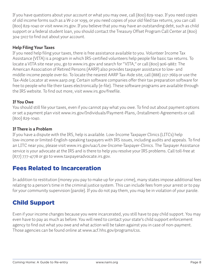If you have questions about your account or what you may owe, call (800) 829-1040. If you need copies of old income forms such as a W-2 or 1099, or you need copies of your old filed tax returns, you can call (800) 829-1040 or visit www.irs.gov. If you believe that you may have an outstanding debt, such as child support or a federal student loan, you should contact the Treasury Offset Program Call Center at (800) 304-3107 to find out about your account.

#### **Help Filing Your Taxes**

If you need help filing your taxes, there is free assistance available to you. Volunteer Income Tax Assistance (VITA) is a program in which IRS-certified volunteers help people file basic tax returns. To locate a VITA site near you, go to www.irs.gov and search for "VITA," or call (800) 906-9887. The American Association of Retired Persons (AARP) also provides taxpayer assistance to low- and middle-income people over 60. To locate the nearest AARP Tax-Aide site, call (888) 227-7669 or use the Tax-Aide Locator at www.aarp.org. Certain software companies offer their tax preparation software for free to people who file their taxes electronically (e-file). These software programs are available through the IRS website. To find out more, visit www.irs.gov/freefile.

#### **If You Owe**

You should still file your taxes, even if you cannot pay what you owe. To find out about payment options or set a payment plan visit www.irs.gov/Individuals/Payment-Plans,-Installment-Agreements or call (800) 829-1040.

#### **If There is a Problem**

If you have a dispute with the IRS, help is available. Low-Income Taxpayer Clinics (LITCs) help low-income or limited-English-speaking taxpayers with IRS issues, including audits and appeals. To find an LITC near you, please visit www.irs.gov/uac/Low-Income-Taxpayer-Clinics. The Taxpayer Assistance service is your advocate at the IRS and is there to help you resolve your IRS problems. Call toll-free at (877) 777-4778 or go to www.taxpayeradvocate.irs.gov.

## Fees Related to Incarceration

In addition to restitution (money you pay to make up for your crime), many states impose additional fees relating to a person's time in the criminal justice system. This can include fees from your arrest or to pay for your community supervision (parole). If you do not pay them, you may be in violation of your parole.

## Child Support

Even if your income changes because you were incarcerated, you still have to pay child support. You may even have to pay as much as before. You will need to contact your state's child support enforcement agency to find out what you owe and what action will be taken against you in case of non-payment. Those agencies can be found online at www.acf.hhs.gov/programs/css.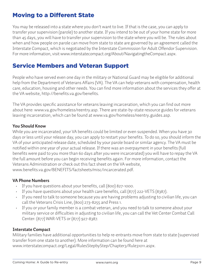## Moving to a Different State

You may be released into a state where you don't want to live. If that is the case, you can apply to transfer your supervision (parole) to another state. If you intend to be out of your home state for more than 45 days, you will have to transfer your supervision to the state where you will be. The rules about when and how people on parole can move from state to state are governed by an agreement called the Interstate Compact, which is negotiated by the Interstate Commission for Adult Offendor Supervision. For more information, visit www.interstatecompact.org/About/NavigatingtheCompact.aspx.

## Service Members and Veteran Support

People who have served even one day in the military or National Guard may be eligible for additional help from the Department of Veterans Affairs (VA). The VA can help veterans with compensation, health care, education, housing and other needs. You can find more information about the services they offer at the VA website, http://benefits.va.gov/benefits.

The VA provides specific assistance for veterans leaving incarceration, which you can find out more about here: www.va.gov/homeless/reentry.asp. There are state-by-state resource guides for veterans leaving incarceration, which can be found at www.va.gov/homeless/reentry\_guides.asp.

#### **You Should Know**

While you are incarcerated, your VA benefits could be limited or even suspended. When you have 30 days or less until your release day, you can apply to restart your benefits. To do so, you should inform the VA of your anticipated release date, scheduled by your parole board or similar agency. The VA must be notified within one year of your actual release. If there was an overpayment in your benefits (full benefits were paid to you more than 60 days after you were incarcerated) you will have to repay the VA the full amount before you can begin receiving benefits again. For more information, contact the Veterans Administration or check out this fact sheet on the VA website, www.benefits.va.gov/BENEFITS/factsheets/misc/incarcerated.pdf.

#### **VA Phone Numbers**

- If you have questions about your benefits, call (800) 827-1000.
- If you have questions about your health care benefits, call (877) 222-VETS (8387).
- If you need to talk to someone because you are having problems adjusting to civilian life, you can call the Veterans Crisis Line, (800) 273-8255 and Press 1.
- If you or your family member is a combat veteran, and you need to talk to someone about your military service or difficulties in adjusting to civilian life, you can call the Vet Center Combat Call Center: (877) WAR-VETS or (877) 927-8387.

#### **Interstate Compact**

Military families have additional opportunities to help re-entrants move from state to state (supervised transfer from one state to another). More information can be found here at

www.interstatecompact.org/Legal/RulesStepbyStep/Chapter3/Rule31011.aspx.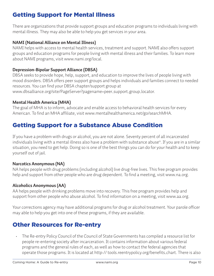## Getting Support for Mental Illness

There are organizations that provide support groups and education programs to individuals living with mental illness. They may also be able to help you get services in your area.

#### **NAMI (National Alliance on Mental Illness)**

NAMI helps with access to mental health services, treatment and support. NAMI also offers support groups and education programs for people living with mental illness and their families. To learn more about NAMI programs, visit www.nami.org/local.

#### **Depression-Bipolar Support Alliance (DBSA)**

DBSA seeks to provide hope, help, support, and education to improve the lives of people living with mood disorders. DBSA offers peer support groups and helps individuals and families connect to needed resources. You can find your DBSA chapter/support group at

www.dbsalliance.org/site/PageServer?pagename=peer\_support\_group\_locator.

#### **Mental Health America (MHA)**

The goal of MHA is to inform, advocate and enable access to behavioral health services for every American. To find an MHA affiliate, visit www.mentalhealthamerica.net/go/searchMHA.

## Getting Support for a Substance Abuse Condition

If you have a problem with drugs or alcohol, you are not alone. Seventy percent of all incarcerated individuals living with a mental illness also have a problem with substance abuse<sup>iii</sup>. If you are in a similar situation, you need to get help. Doing so is one of the best things you can do for your health and to keep yourself out of jail.

#### **Narcotics Anonymous (NA)**

NA helps people with drug problems (including alcohol) live drug-free lives. This free program provides help and support from other people who are drug dependent. To find a meeting, visit www.na.org.

#### **Alcoholics Anonymous (AA)**

AA helps people with drinking problems move into recovery. This free program provides help and support from other people who abuse alcohol. To find information on a meeting, visit www.aa.org.

Your corrections agency may have additional programs for drug or alcohol treatment. Your parole officer may able to help you get into one of these programs, if they are available.

## Other Resources for Re-entry

• The Re-entry Policy Council of the Council of State Governments has compiled a resource list for people re-entering society after incarceration. It contains information about various federal programs and the general rules of each, as well as how to contact the federal agencies that operate those programs. It is located at http:// tools.reentrypolicy.org/benefits\_chart. There is also